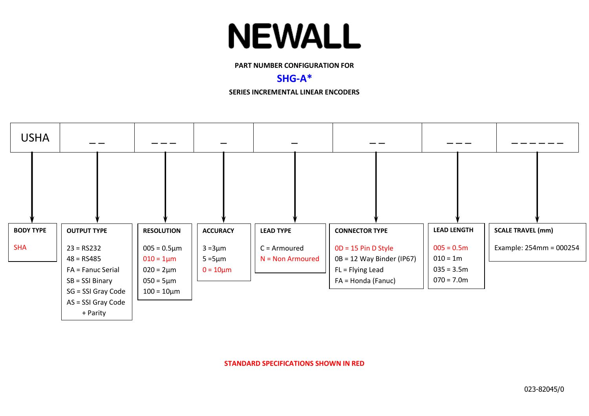## **NEWALL**

**PART NUMBER CONFIGURATION FOR**

### **SHG-A\***

**SERIES INCREMENTAL LINEAR ENCODERS**



**STANDARD SPECIFICATIONS SHOWN IN RED**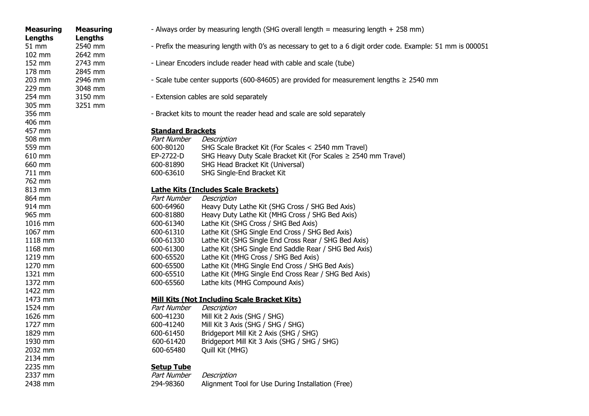| <b>Measuring</b>      | <b>Measuring</b> |
|-----------------------|------------------|
| <b>Lengths</b>        | <b>Lengths</b>   |
| 51 mm                 | 2540 mm          |
| 102 mm                | 2642 mm          |
| 152 mm                | 2743 mm          |
| 178 mm                | 2845 mm          |
| 203 mm                | 2946 mm          |
| 229 mm                | 3048 mm          |
| 254 mm                | 3150 mm          |
| 305 mm                | 3251 mm          |
| 356 mm                |                  |
| 406 mm                |                  |
| 457 mm                |                  |
| 508 mm                |                  |
| 559 mm                |                  |
| 610 mm                |                  |
| 660 mm                |                  |
| 711 mm                |                  |
| 762 mm                |                  |
| 813 mm                |                  |
| 864 mm                |                  |
| 914 mm                |                  |
| 965 mm                |                  |
| 1016 mm               |                  |
| 1067 mm               |                  |
| 1118 mm               |                  |
| 1168 mm               |                  |
| 1219 mm               |                  |
| 1270 mm               |                  |
| 1321 mm               |                  |
| 1372 mm               |                  |
| 1422 mm               |                  |
| 1473 mm               |                  |
| 1524 mm               |                  |
| 1626 mm               |                  |
| 1727 mm               |                  |
| 1829 mm<br>1930 mm    |                  |
| 2032 mm               |                  |
| 2134 mm               |                  |
|                       |                  |
| 2235<br>mm<br>2337 mm |                  |
| 2438 mm               |                  |
|                       |                  |

- **uring** Always order by measuring length (SHG overall length = measuring length + 258 mm)
- nm Prefix the measuring length with 0's as necessary to get to a 6 digit order code. Example: 51 mm is 000051
- nm 2743 Linear Encoders include reader head with cable and scale (tube)
- nm  $-$  Scale tube center supports (600-84605) are provided for measurement lengths  $\geq$  2540 mm
- nm 3150 mm Extension cables are sold separately
	- Bracket kits to mount the reader head and scale are sold separately

#### **Standard Brackets**

| 508 mm | Part Number | Description                                                         |
|--------|-------------|---------------------------------------------------------------------|
| 559 mm | 600-80120   | SHG Scale Bracket Kit (For Scales < 2540 mm Travel)                 |
| 610 mm | EP-2722-D   | SHG Heavy Duty Scale Bracket Kit (For Scales $\geq$ 2540 mm Travel) |
| 660 mm | 600-81890   | SHG Head Bracket Kit (Universal)                                    |
| 711 mm | 600-63610   | SHG Single-End Bracket Kit                                          |
|        |             |                                                                     |

#### **Lathe Kits (Includes Scale Brackets)**

| 864 mm  | Part Number | Description                                           |
|---------|-------------|-------------------------------------------------------|
| 914 mm  | 600-64960   | Heavy Duty Lathe Kit (SHG Cross / SHG Bed Axis)       |
| 965 mm  | 600-81880   | Heavy Duty Lathe Kit (MHG Cross / SHG Bed Axis)       |
| 1016 mm | 600-61340   | Lathe Kit (SHG Cross / SHG Bed Axis)                  |
| 1067 mm | 600-61310   | Lathe Kit (SHG Single End Cross / SHG Bed Axis)       |
| 1118 mm | 600-61330   | Lathe Kit (SHG Single End Cross Rear / SHG Bed Axis)  |
| 1168 mm | 600-61300   | Lathe Kit (SHG Single End Saddle Rear / SHG Bed Axis) |
| 1219 mm | 600-65520   | Lathe Kit (MHG Cross / SHG Bed Axis)                  |
| 1270 mm | 600-65500   | Lathe Kit (MHG Single End Cross / SHG Bed Axis)       |
| 1321 mm | 600-65510   | Lathe Kit (MHG Single End Cross Rear / SHG Bed Axis)  |
| 1372 mm | 600-65560   | Lathe kits (MHG Compound Axis)                        |
|         |             |                                                       |

#### **Mill Kits (Not Including Scale Bracket Kits)**

| 1524 mm | Part Number | Description                                  |
|---------|-------------|----------------------------------------------|
| 1626 mm | 600-41230   | Mill Kit 2 Axis (SHG / SHG)                  |
| 1727 mm | 600-41240   | Mill Kit 3 Axis (SHG / SHG / SHG)            |
| 1829 mm | 600-61450   | Bridgeport Mill Kit 2 Axis (SHG / SHG)       |
| 1930 mm | 600-61420   | Bridgeport Mill Kit 3 Axis (SHG / SHG / SHG) |
| 2032 mm | 600-65480   | Quill Kit (MHG)                              |

#### **Setup Tube**

| 2337 mm | Part Number Description |                                                   |
|---------|-------------------------|---------------------------------------------------|
| 2438 mm | 294-98360               | Alignment Tool for Use During Installation (Free) |